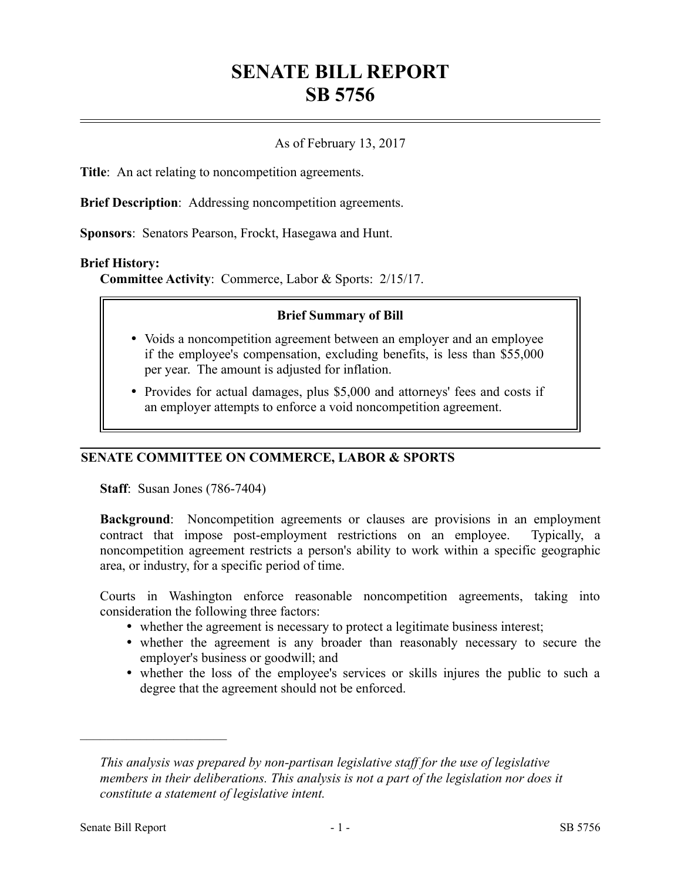# **SENATE BILL REPORT SB 5756**

## As of February 13, 2017

**Title**: An act relating to noncompetition agreements.

**Brief Description**: Addressing noncompetition agreements.

**Sponsors**: Senators Pearson, Frockt, Hasegawa and Hunt.

#### **Brief History:**

**Committee Activity**: Commerce, Labor & Sports: 2/15/17.

#### **Brief Summary of Bill**

- Voids a noncompetition agreement between an employer and an employee if the employee's compensation, excluding benefits, is less than \$55,000 per year. The amount is adjusted for inflation.
- Provides for actual damages, plus \$5,000 and attorneys' fees and costs if an employer attempts to enforce a void noncompetition agreement.

## **SENATE COMMITTEE ON COMMERCE, LABOR & SPORTS**

**Staff**: Susan Jones (786-7404)

**Background**: Noncompetition agreements or clauses are provisions in an employment contract that impose post-employment restrictions on an employee. Typically, a noncompetition agreement restricts a person's ability to work within a specific geographic area, or industry, for a specific period of time.

Courts in Washington enforce reasonable noncompetition agreements, taking into consideration the following three factors:

- whether the agreement is necessary to protect a legitimate business interest;
- whether the agreement is any broader than reasonably necessary to secure the employer's business or goodwill; and
- whether the loss of the employee's services or skills injures the public to such a degree that the agreement should not be enforced.

––––––––––––––––––––––

*This analysis was prepared by non-partisan legislative staff for the use of legislative members in their deliberations. This analysis is not a part of the legislation nor does it constitute a statement of legislative intent.*